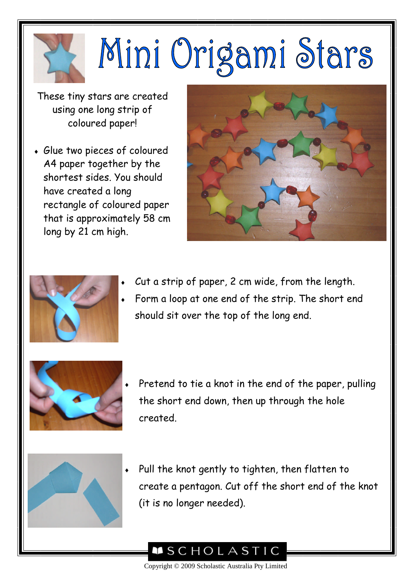## Mini Origami Stars

These tiny stars are created using one long strip of coloured paper!

 Glue two pieces of coloured A4 paper together by the shortest sides. You should have created a long rectangle of coloured paper that is approximately 58 cm long by 21 cm high.





- Cut a strip of paper, 2 cm wide, from the length.
- Form a loop at one end of the strip. The short end should sit over the top of the long end.



 Pretend to tie a knot in the end of the paper, pulling the short end down, then up through the hole created.



 Pull the knot gently to tighten, then flatten to create a pentagon. Cut off the short end of the knot (it is no longer needed).



Copyright © 2009 Scholastic Australia Pty Limited